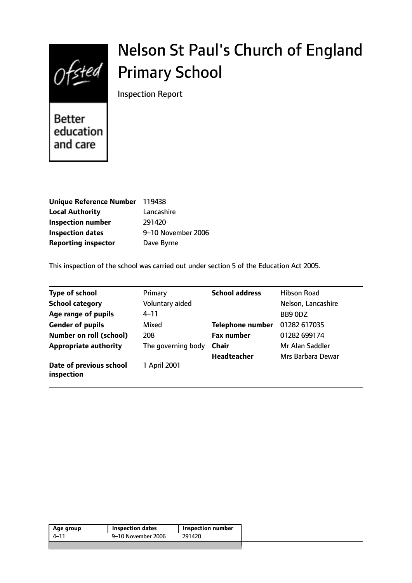

# Nelson St Paul's Church of England Primary School

Inspection Report

**Better** education and care

| Unique Reference Number 119438 |                    |
|--------------------------------|--------------------|
| <b>Local Authority</b>         | Lancashire         |
| <b>Inspection number</b>       | 291420             |
| <b>Inspection dates</b>        | 9-10 November 2006 |
| <b>Reporting inspector</b>     | Dave Byrne         |

This inspection of the school was carried out under section 5 of the Education Act 2005.

| <b>Type of school</b>                 | Primary            | <b>School address</b>   | Hibson Road        |
|---------------------------------------|--------------------|-------------------------|--------------------|
| <b>School category</b>                | Voluntary aided    |                         | Nelson, Lancashire |
| Age range of pupils                   | $4 - 11$           |                         | BB9 0DZ            |
| <b>Gender of pupils</b>               | Mixed              | <b>Telephone number</b> | 01282 617035       |
| <b>Number on roll (school)</b>        | 208                | <b>Fax number</b>       | 01282 699174       |
| <b>Appropriate authority</b>          | The governing body | <b>Chair</b>            | Mr Alan Saddler    |
|                                       |                    | <b>Headteacher</b>      | Mrs Barbara Dewar  |
| Date of previous school<br>inspection | 1 April 2001       |                         |                    |

| 9–10 November 2006<br>291420<br>4–11 | Age group | <b>Inspection dates</b> | <b>Inspection number</b> |  |
|--------------------------------------|-----------|-------------------------|--------------------------|--|
|                                      |           |                         |                          |  |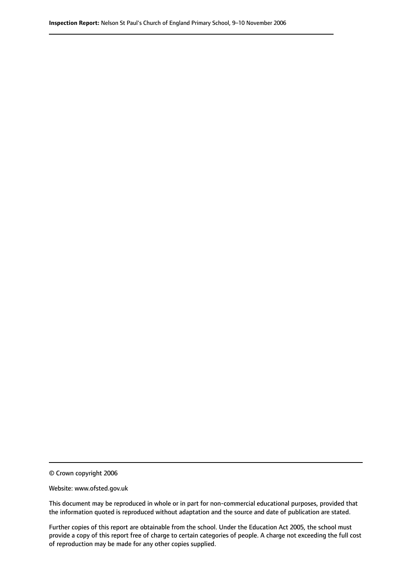© Crown copyright 2006

Website: www.ofsted.gov.uk

This document may be reproduced in whole or in part for non-commercial educational purposes, provided that the information quoted is reproduced without adaptation and the source and date of publication are stated.

Further copies of this report are obtainable from the school. Under the Education Act 2005, the school must provide a copy of this report free of charge to certain categories of people. A charge not exceeding the full cost of reproduction may be made for any other copies supplied.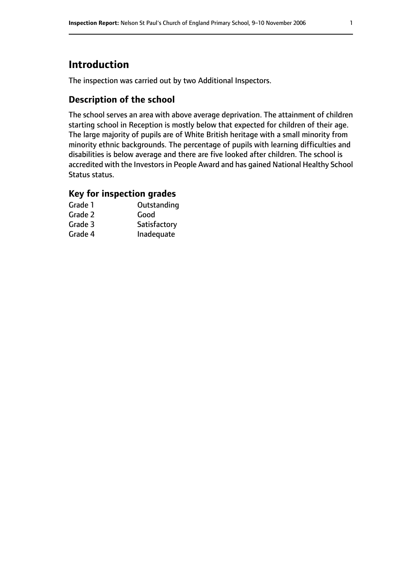# **Introduction**

The inspection was carried out by two Additional Inspectors.

## **Description of the school**

The school serves an area with above average deprivation. The attainment of children starting school in Reception is mostly below that expected for children of their age. The large majority of pupils are of White British heritage with a small minority from minority ethnic backgrounds. The percentage of pupils with learning difficulties and disabilities is below average and there are five looked after children. The school is accredited with the Investors in People Award and has gained National Healthy School Status status.

## **Key for inspection grades**

| Grade 1 | Outstanding  |
|---------|--------------|
| Grade 2 | Good         |
| Grade 3 | Satisfactory |
| Grade 4 | Inadequate   |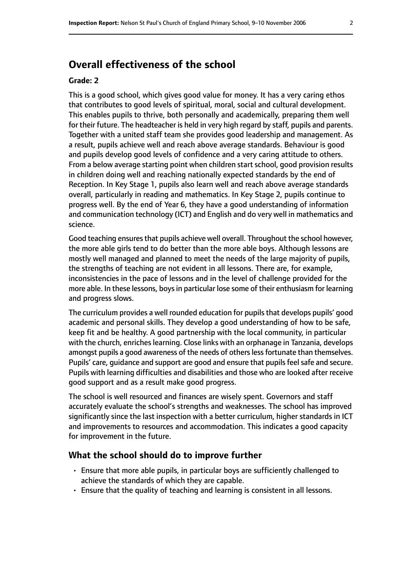# **Overall effectiveness of the school**

#### **Grade: 2**

This is a good school, which gives good value for money. It has a very caring ethos that contributes to good levels of spiritual, moral, social and cultural development. This enables pupils to thrive, both personally and academically, preparing them well for their future. The headteacher is held in very high regard by staff, pupils and parents. Together with a united staff team she provides good leadership and management. As a result, pupils achieve well and reach above average standards. Behaviour is good and pupils develop good levels of confidence and a very caring attitude to others. From a below average starting point when children start school, good provision results in children doing well and reaching nationally expected standards by the end of Reception. In Key Stage 1, pupils also learn well and reach above average standards overall, particularly in reading and mathematics. In Key Stage 2, pupils continue to progress well. By the end of Year 6, they have a good understanding of information and communication technology (ICT) and English and do very well in mathematics and science.

Good teaching ensures that pupils achieve well overall. Throughout the school however, the more able girls tend to do better than the more able boys. Although lessons are mostly well managed and planned to meet the needs of the large majority of pupils, the strengths of teaching are not evident in all lessons. There are, for example, inconsistencies in the pace of lessons and in the level of challenge provided for the more able. In these lessons, boysin particular lose some of their enthusiasm for learning and progress slows.

The curriculum provides a well rounded education for pupils that develops pupils' good academic and personal skills. They develop a good understanding of how to be safe, keep fit and be healthy. A good partnership with the local community, in particular with the church, enriches learning. Close links with an orphanage in Tanzania, develops amongst pupils a good awareness of the needs of others less fortunate than themselves. Pupils' care, quidance and support are good and ensure that pupils feel safe and secure. Pupils with learning difficulties and disabilities and those who are looked after receive good support and as a result make good progress.

The school is well resourced and finances are wisely spent. Governors and staff accurately evaluate the school's strengths and weaknesses. The school has improved significantly since the last inspection with a better curriculum, higher standards in ICT and improvements to resources and accommodation. This indicates a good capacity for improvement in the future.

#### **What the school should do to improve further**

- Ensure that more able pupils, in particular boys are sufficiently challenged to achieve the standards of which they are capable.
- Ensure that the quality of teaching and learning is consistent in all lessons.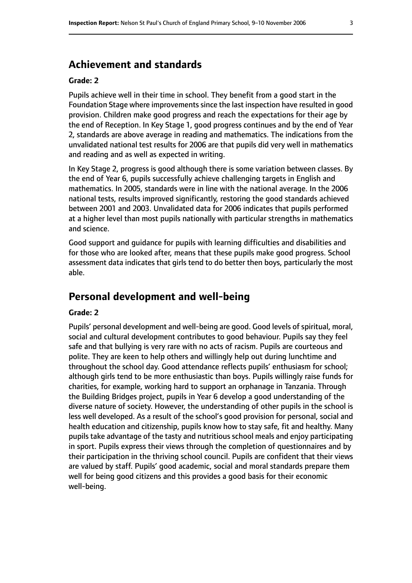# **Achievement and standards**

#### **Grade: 2**

Pupils achieve well in their time in school. They benefit from a good start in the Foundation Stage where improvements since the last inspection have resulted in good provision. Children make good progress and reach the expectations for their age by the end of Reception. In Key Stage 1, good progress continues and by the end of Year 2, standards are above average in reading and mathematics. The indications from the unvalidated national test results for 2006 are that pupils did very well in mathematics and reading and as well as expected in writing.

In Key Stage 2, progress is good although there is some variation between classes. By the end of Year 6, pupils successfully achieve challenging targets in English and mathematics. In 2005, standards were in line with the national average. In the 2006 national tests, results improved significantly, restoring the good standards achieved between 2001 and 2003. Unvalidated data for 2006 indicates that pupils performed at a higher level than most pupils nationally with particular strengths in mathematics and science.

Good support and guidance for pupils with learning difficulties and disabilities and for those who are looked after, means that these pupils make good progress. School assessment data indicates that girls tend to do better then boys, particularly the most able.

## **Personal development and well-being**

#### **Grade: 2**

Pupils' personal development and well-being are good. Good levels of spiritual, moral, social and cultural development contributes to good behaviour. Pupils say they feel safe and that bullying is very rare with no acts of racism. Pupils are courteous and polite. They are keen to help others and willingly help out during lunchtime and throughout the school day. Good attendance reflects pupils' enthusiasm for school; although girls tend to be more enthusiastic than boys. Pupils willingly raise funds for charities, for example, working hard to support an orphanage in Tanzania. Through the Building Bridges project, pupils in Year 6 develop a good understanding of the diverse nature of society. However, the understanding of other pupils in the school is less well developed. As a result of the school's good provision for personal, social and health education and citizenship, pupils know how to stay safe, fit and healthy. Many pupils take advantage of the tasty and nutritious school meals and enjoy participating in sport. Pupils express their views through the completion of questionnaires and by their participation in the thriving school council. Pupils are confident that their views are valued by staff. Pupils' good academic, social and moral standards prepare them well for being good citizens and this provides a good basis for their economic well-being.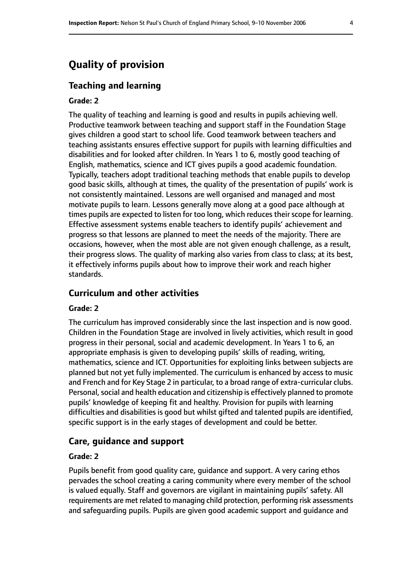# **Quality of provision**

#### **Teaching and learning**

#### **Grade: 2**

The quality of teaching and learning is good and results in pupils achieving well. Productive teamwork between teaching and support staff in the Foundation Stage gives children a good start to school life. Good teamwork between teachers and teaching assistants ensures effective support for pupils with learning difficulties and disabilities and for looked after children. In Years 1 to 6, mostly good teaching of English, mathematics, science and ICT gives pupils a good academic foundation. Typically, teachers adopt traditional teaching methods that enable pupils to develop good basic skills, although at times, the quality of the presentation of pupils' work is not consistently maintained. Lessons are well organised and managed and most motivate pupils to learn. Lessons generally move along at a good pace although at times pupils are expected to listen for too long, which reduces their scope for learning. Effective assessment systems enable teachers to identify pupils' achievement and progress so that lessons are planned to meet the needs of the majority. There are occasions, however, when the most able are not given enough challenge, as a result, their progress slows. The quality of marking also varies from class to class; at its best, it effectively informs pupils about how to improve their work and reach higher standards.

#### **Curriculum and other activities**

#### **Grade: 2**

The curriculum has improved considerably since the last inspection and is now good. Children in the Foundation Stage are involved in lively activities, which result in good progress in their personal, social and academic development. In Years 1 to 6, an appropriate emphasis is given to developing pupils' skills of reading, writing, mathematics, science and ICT. Opportunities for exploiting links between subjects are planned but not yet fully implemented. The curriculum is enhanced by access to music and French and for Key Stage 2 in particular, to a broad range of extra-curricular clubs. Personal, social and health education and citizenship is effectively planned to promote pupils' knowledge of keeping fit and healthy. Provision for pupils with learning difficulties and disabilities is good but whilst gifted and talented pupils are identified, specific support is in the early stages of development and could be better.

#### **Care, guidance and support**

#### **Grade: 2**

Pupils benefit from good quality care, guidance and support. A very caring ethos pervades the school creating a caring community where every member of the school is valued equally. Staff and governors are vigilant in maintaining pupils' safety. All requirements are met related to managing child protection, performing risk assessments and safeguarding pupils. Pupils are given good academic support and guidance and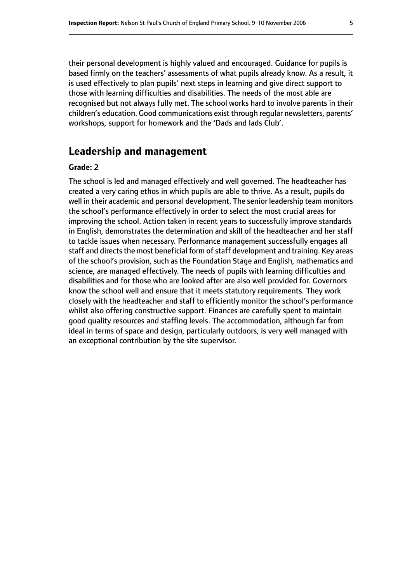their personal development is highly valued and encouraged. Guidance for pupils is based firmly on the teachers' assessments of what pupils already know. As a result, it is used effectively to plan pupils' next steps in learning and give direct support to those with learning difficulties and disabilities. The needs of the most able are recognised but not always fully met. The school works hard to involve parents in their children's education. Good communications exist through regular newsletters, parents' workshops, support for homework and the 'Dads and lads Club'.

# **Leadership and management**

#### **Grade: 2**

The school is led and managed effectively and well governed. The headteacher has created a very caring ethos in which pupils are able to thrive. As a result, pupils do well in their academic and personal development. The senior leadership team monitors the school's performance effectively in order to select the most crucial areas for improving the school. Action taken in recent years to successfully improve standards in English, demonstrates the determination and skill of the headteacher and her staff to tackle issues when necessary. Performance management successfully engages all staff and directs the most beneficial form of staff development and training. Key areas of the school's provision, such as the Foundation Stage and English, mathematics and science, are managed effectively. The needs of pupils with learning difficulties and disabilities and for those who are looked after are also well provided for. Governors know the school well and ensure that it meets statutory requirements. They work closely with the headteacher and staff to efficiently monitor the school's performance whilst also offering constructive support. Finances are carefully spent to maintain good quality resources and staffing levels. The accommodation, although far from ideal in terms of space and design, particularly outdoors, is very well managed with an exceptional contribution by the site supervisor.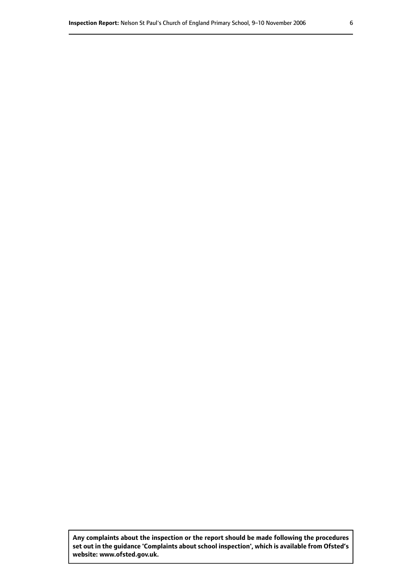**Any complaints about the inspection or the report should be made following the procedures set out inthe guidance 'Complaints about school inspection', whichis available from Ofsted's website: www.ofsted.gov.uk.**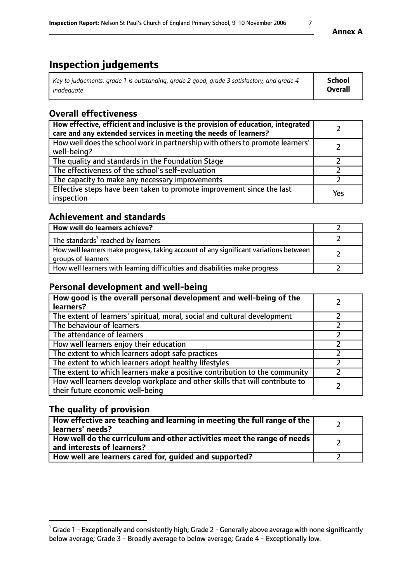# **Inspection judgements**

| Key to judgements: grade 1 is outstanding, grade 2 good, grade 3 satisfactory, and grade 4 | School  |
|--------------------------------------------------------------------------------------------|---------|
| inadeauate                                                                                 | Overall |

# **Overall effectiveness**

| How effective, efficient and inclusive is the provision of education, integrated<br>care and any extended services in meeting the needs of learners? |     |
|------------------------------------------------------------------------------------------------------------------------------------------------------|-----|
| How well does the school work in partnership with others to promote learners'<br>well-being?                                                         |     |
| The quality and standards in the Foundation Stage                                                                                                    |     |
| The effectiveness of the school's self-evaluation                                                                                                    |     |
| The capacity to make any necessary improvements                                                                                                      |     |
| Effective steps have been taken to promote improvement since the last<br>inspection                                                                  | Yes |

# **Achievement and standards**

| How well do learners achieve?                                                                               |  |
|-------------------------------------------------------------------------------------------------------------|--|
| The standards <sup>1</sup> reached by learners                                                              |  |
| How well learners make progress, taking account of any significant variations between<br>groups of learners |  |
| How well learners with learning difficulties and disabilities make progress                                 |  |

# **Personal development and well-being**

| How good is the overall personal development and well-being of the<br>learners?                                  |  |
|------------------------------------------------------------------------------------------------------------------|--|
| The extent of learners' spiritual, moral, social and cultural development                                        |  |
| The behaviour of learners                                                                                        |  |
| The attendance of learners                                                                                       |  |
| How well learners enjoy their education                                                                          |  |
| The extent to which learners adopt safe practices                                                                |  |
| The extent to which learners adopt healthy lifestyles                                                            |  |
| The extent to which learners make a positive contribution to the community                                       |  |
| How well learners develop workplace and other skills that will contribute to<br>their future economic well-being |  |

# **The quality of provision**

| How effective are teaching and learning in meeting the full range of the<br>  learners' needs?                      |  |
|---------------------------------------------------------------------------------------------------------------------|--|
| $\mid$ How well do the curriculum and other activities meet the range of needs<br>$\mid$ and interests of learners? |  |
| How well are learners cared for, guided and supported?                                                              |  |

 $^1$  Grade 1 - Exceptionally and consistently high; Grade 2 - Generally above average with none significantly below average; Grade 3 - Broadly average to below average; Grade 4 - Exceptionally low.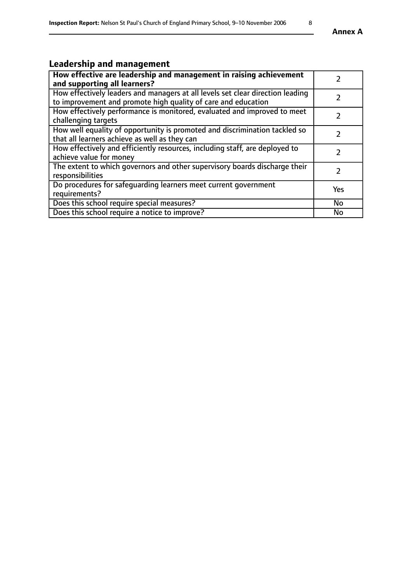# **Leadership and management**

| How effective are leadership and management in raising achievement<br>and supporting all learners?                                              |               |
|-------------------------------------------------------------------------------------------------------------------------------------------------|---------------|
| How effectively leaders and managers at all levels set clear direction leading<br>to improvement and promote high quality of care and education |               |
| How effectively performance is monitored, evaluated and improved to meet<br>challenging targets                                                 |               |
| How well equality of opportunity is promoted and discrimination tackled so<br>that all learners achieve as well as they can                     |               |
| How effectively and efficiently resources, including staff, are deployed to<br>achieve value for money                                          | $\mathcal{P}$ |
| The extent to which governors and other supervisory boards discharge their<br>responsibilities                                                  |               |
| Do procedures for safeguarding learners meet current government<br>requirements?                                                                | <b>Yes</b>    |
| Does this school require special measures?                                                                                                      | <b>No</b>     |
| Does this school require a notice to improve?                                                                                                   | <b>No</b>     |